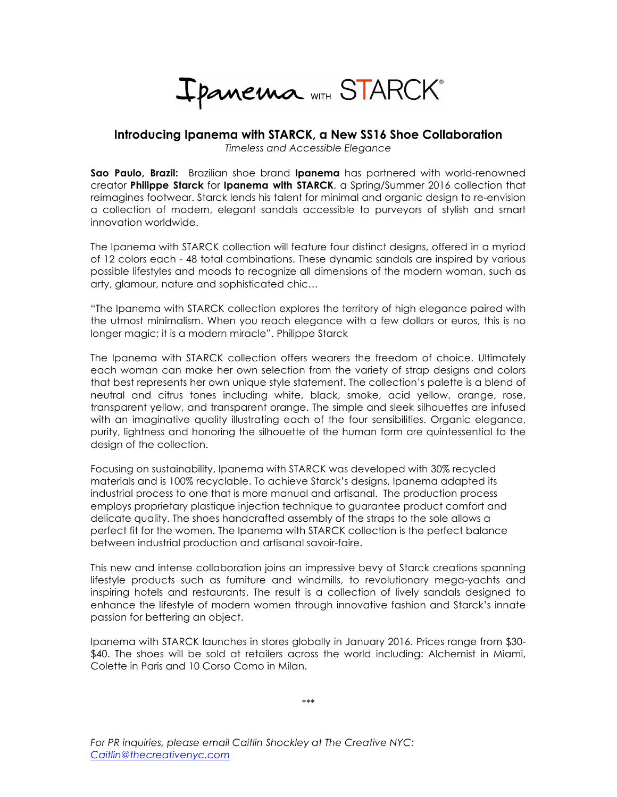Ipanema WITH STARCK®

## **Introducing Ipanema with STARCK, a New SS16 Shoe Collaboration**

*Timeless and Accessible Elegance*

**Sao Paulo, Brazil:** Brazilian shoe brand **Ipanema** has partnered with world-renowned creator **Philippe Starck** for **Ipanema with STARCK**, a Spring/Summer 2016 collection that reimagines footwear. Starck lends his talent for minimal and organic design to re-envision a collection of modern, elegant sandals accessible to purveyors of stylish and smart innovation worldwide.

The Ipanema with STARCK collection will feature four distinct designs, offered in a myriad of 12 colors each - 48 total combinations. These dynamic sandals are inspired by various possible lifestyles and moods to recognize all dimensions of the modern woman, such as arty, glamour, nature and sophisticated chic…

"The Ipanema with STARCK collection explores the territory of high elegance paired with the utmost minimalism. When you reach elegance with a few dollars or euros, this is no longer magic; it is a modern miracle". Philippe Starck

The Ipanema with STARCK collection offers wearers the freedom of choice. Ultimately each woman can make her own selection from the variety of strap designs and colors that best represents her own unique style statement. The collection's palette is a blend of neutral and citrus tones including white, black, smoke, acid yellow, orange, rose, transparent yellow, and transparent orange. The simple and sleek silhouettes are infused with an imaginative quality illustrating each of the four sensibilities. Organic elegance, purity, lightness and honoring the silhouette of the human form are quintessential to the design of the collection.

Focusing on sustainability, Ipanema with STARCK was developed with 30% recycled materials and is 100% recyclable. To achieve Starck's designs, Ipanema adapted its industrial process to one that is more manual and artisanal. The production process employs proprietary plastique injection technique to guarantee product comfort and delicate quality. The shoes handcrafted assembly of the straps to the sole allows a perfect fit for the women. The Ipanema with STARCK collection is the perfect balance between industrial production and artisanal savoir-faire.

This new and intense collaboration joins an impressive bevy of Starck creations spanning lifestyle products such as furniture and windmills, to revolutionary mega-yachts and inspiring hotels and restaurants. The result is a collection of lively sandals designed to enhance the lifestyle of modern women through innovative fashion and Starck's innate passion for bettering an object.

Ipanema with STARCK launches in stores globally in January 2016. Prices range from \$30- \$40. The shoes will be sold at retailers across the world including: Alchemist in Miami, Colette in Paris and 10 Corso Como in Milan.

*\*\*\**